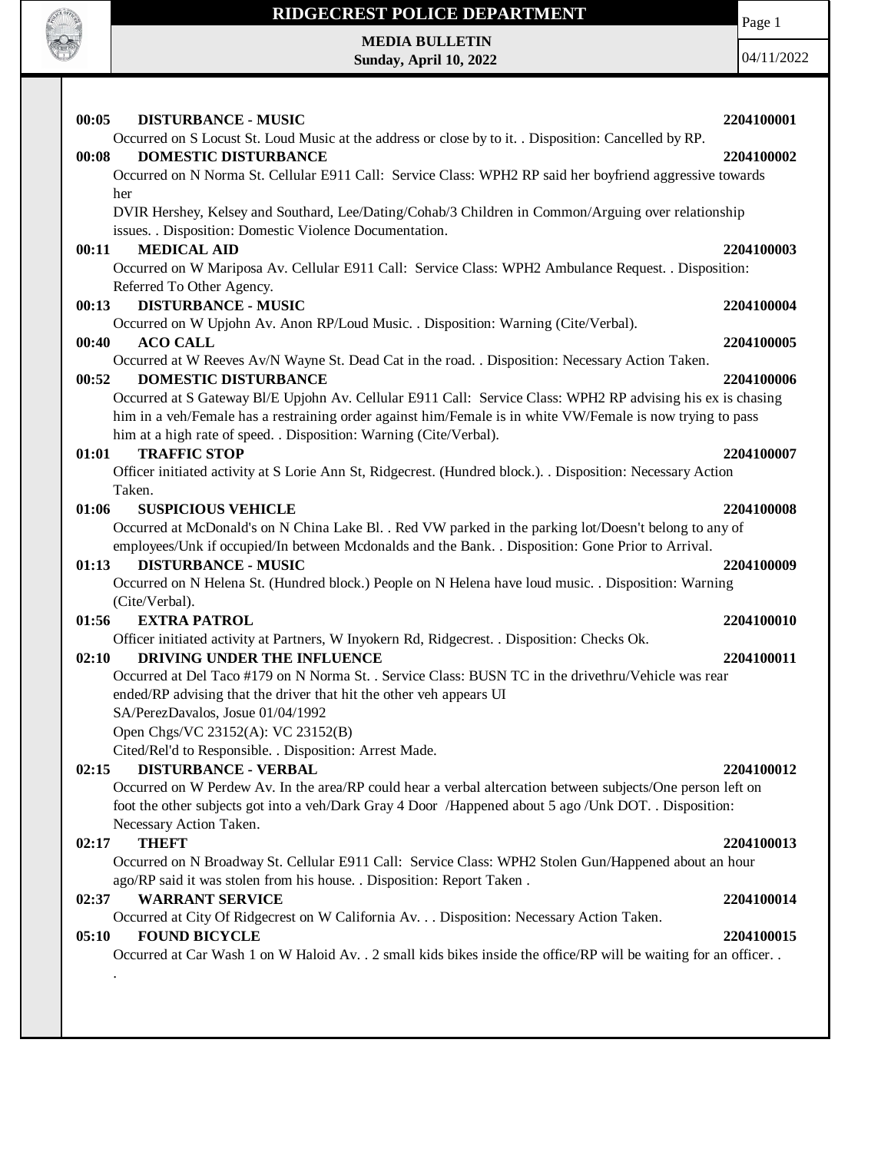

Page 1

**MEDIA BULLETIN Sunday, April 10, 2022**

| <b>TRAFFIC STOP</b><br>01:01                                                                                | 2204100007 |
|-------------------------------------------------------------------------------------------------------------|------------|
| Officer initiated activity at S Lorie Ann St, Ridgecrest. (Hundred block.). . Disposition: Necessary Action |            |
| Taken.                                                                                                      |            |
| <b>SUSPICIOUS VEHICLE</b><br>01:06                                                                          | 2204100008 |
| Occurred at McDonald's on N China Lake Bl. . Red VW parked in the parking lot/Doesn't belong to any of      |            |
| employees/Unk if occupied/In between Mcdonalds and the Bank. . Disposition: Gone Prior to Arrival.          |            |
| <b>DISTURBANCE - MUSIC</b><br>01:13                                                                         | 2204100009 |
| Occurred on N Helena St. (Hundred block.) People on N Helena have loud music. . Disposition: Warning        |            |
| (Cite/Verbal).                                                                                              |            |
| <b>EXTRA PATROL</b><br>01:56                                                                                | 2204100010 |
| Officer initiated activity at Partners, W Inyokern Rd, Ridgecrest. . Disposition: Checks Ok.                |            |
| 02:10<br>DRIVING UNDER THE INFLUENCE                                                                        | 2204100011 |
| Occurred at Del Taco #179 on N Norma St. . Service Class: BUSN TC in the drivethru/Vehicle was rear         |            |
| ended/RP advising that the driver that hit the other veh appears UI                                         |            |
| SA/PerezDavalos, Josue 01/04/1992                                                                           |            |
| Open Chgs/VC 23152(A): VC 23152(B)                                                                          |            |
| Cited/Rel'd to Responsible. . Disposition: Arrest Made.                                                     |            |
| <b>DISTURBANCE - VERBAL</b><br>02:15                                                                        | 2204100012 |
| Occurred on W Perdew Av. In the area/RP could hear a verbal altercation between subjects/One person left on |            |
|                                                                                                             |            |
| foot the other subjects got into a veh/Dark Gray 4 Door /Happened about 5 ago /Unk DOT. . Disposition:      |            |
| Necessary Action Taken.                                                                                     | 2204100013 |
| <b>THEFT</b><br>02:17                                                                                       |            |
| Occurred on N Broadway St. Cellular E911 Call: Service Class: WPH2 Stolen Gun/Happened about an hour        |            |
|                                                                                                             |            |
| ago/RP said it was stolen from his house. . Disposition: Report Taken.<br><b>WARRANT SERVICE</b><br>02:37   | 2204100014 |
| Occurred at City Of Ridgecrest on W California Av. Disposition: Necessary Action Taken.                     |            |
| <b>FOUND BICYCLE</b><br>05:10                                                                               | 2204100015 |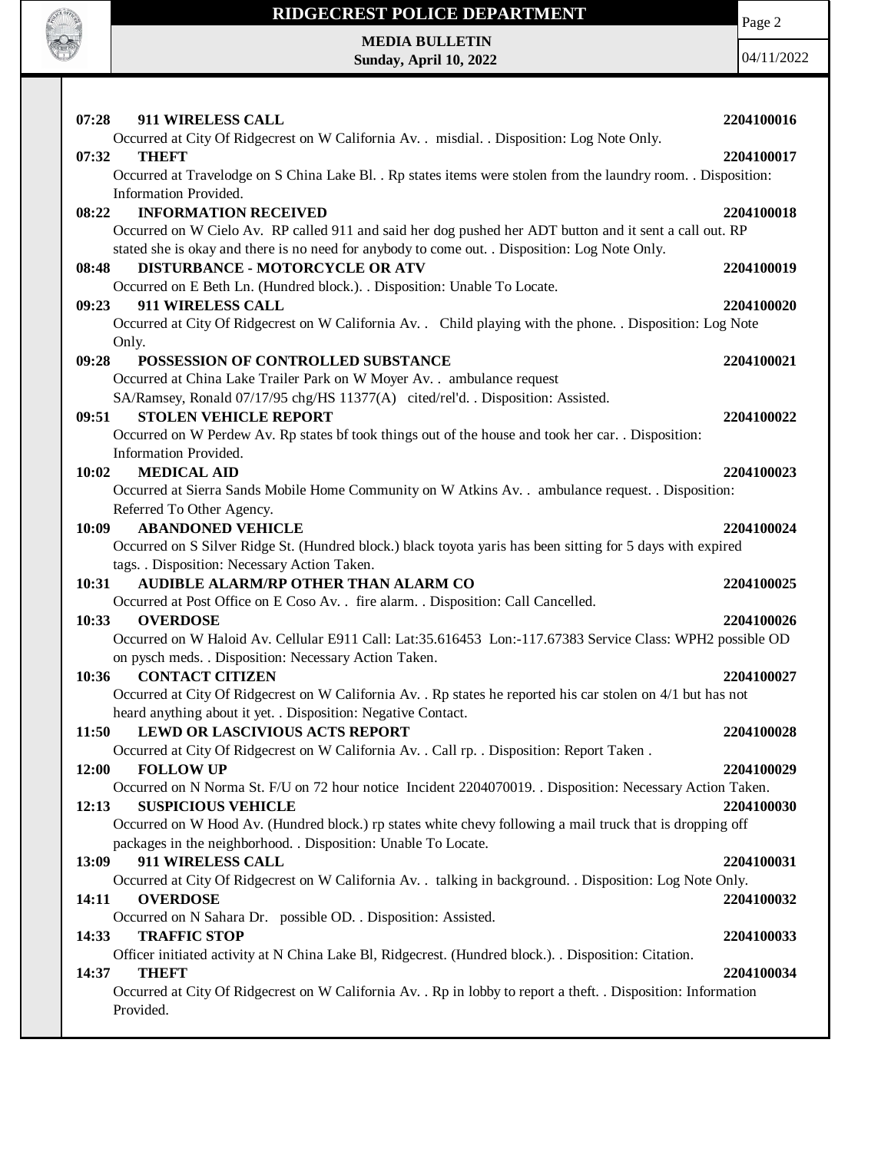

Page 2

**MEDIA BULLETIN Sunday, April 10, 2022**

|                                                                                                                                                                               | 2204100016 |
|-------------------------------------------------------------------------------------------------------------------------------------------------------------------------------|------------|
| Occurred at City Of Ridgecrest on W California Av. . misdial. . Disposition: Log Note Only.                                                                                   |            |
| <b>THEFT</b><br>07:32                                                                                                                                                         | 2204100017 |
| Occurred at Travelodge on S China Lake Bl. . Rp states items were stolen from the laundry room. . Disposition:                                                                |            |
| Information Provided.                                                                                                                                                         |            |
| <b>INFORMATION RECEIVED</b><br>08:22                                                                                                                                          | 2204100018 |
| Occurred on W Cielo Av. RP called 911 and said her dog pushed her ADT button and it sent a call out. RP                                                                       |            |
| stated she is okay and there is no need for anybody to come out. . Disposition: Log Note Only.                                                                                |            |
| <b>DISTURBANCE - MOTORCYCLE OR ATV</b><br>08:48                                                                                                                               | 2204100019 |
| Occurred on E Beth Ln. (Hundred block.). . Disposition: Unable To Locate.                                                                                                     |            |
| 911 WIRELESS CALL<br>09:23                                                                                                                                                    | 2204100020 |
| Occurred at City Of Ridgecrest on W California Av. Child playing with the phone. Disposition: Log Note                                                                        |            |
| Only.                                                                                                                                                                         |            |
| 09:28<br>POSSESSION OF CONTROLLED SUBSTANCE                                                                                                                                   | 2204100021 |
| Occurred at China Lake Trailer Park on W Moyer Av. . ambulance request                                                                                                        |            |
| SA/Ramsey, Ronald 07/17/95 chg/HS 11377(A) cited/rel'd. . Disposition: Assisted.                                                                                              |            |
| <b>STOLEN VEHICLE REPORT</b><br>09:51                                                                                                                                         | 2204100022 |
| Occurred on W Perdew Av. Rp states bf took things out of the house and took her car. . Disposition:                                                                           |            |
| Information Provided.                                                                                                                                                         |            |
| <b>MEDICAL AID</b><br>10:02                                                                                                                                                   | 2204100023 |
| Occurred at Sierra Sands Mobile Home Community on W Atkins Av. . ambulance request. . Disposition:                                                                            |            |
| Referred To Other Agency.<br>10:09<br><b>ABANDONED VEHICLE</b>                                                                                                                | 2204100024 |
| Occurred on S Silver Ridge St. (Hundred block.) black toyota yaris has been sitting for 5 days with expired                                                                   |            |
| tags. . Disposition: Necessary Action Taken.                                                                                                                                  |            |
| AUDIBLE ALARM/RP OTHER THAN ALARM CO<br>10:31                                                                                                                                 | 2204100025 |
| Occurred at Post Office on E Coso Av. . fire alarm. . Disposition: Call Cancelled.                                                                                            |            |
| 10:33<br><b>OVERDOSE</b>                                                                                                                                                      | 2204100026 |
| Occurred on W Haloid Av. Cellular E911 Call: Lat:35.616453 Lon:-117.67383 Service Class: WPH2 possible OD                                                                     |            |
| on pysch meds. . Disposition: Necessary Action Taken.                                                                                                                         |            |
| <b>CONTACT CITIZEN</b><br>10:36                                                                                                                                               | 2204100027 |
|                                                                                                                                                                               |            |
|                                                                                                                                                                               |            |
| Occurred at City Of Ridgecrest on W California Av. . Rp states he reported his car stolen on 4/1 but has not<br>heard anything about it yet. . Disposition: Negative Contact. |            |
| <b>LEWD OR LASCIVIOUS ACTS REPORT</b><br>11:50                                                                                                                                | 2204100028 |
| Occurred at City Of Ridgecrest on W California Av. . Call rp. . Disposition: Report Taken.                                                                                    |            |
| 12:00<br><b>FOLLOW UP</b>                                                                                                                                                     | 2204100029 |
| Occurred on N Norma St. F/U on 72 hour notice Incident 2204070019. . Disposition: Necessary Action Taken.                                                                     |            |
| <b>SUSPICIOUS VEHICLE</b><br>12:13                                                                                                                                            | 2204100030 |
| Occurred on W Hood Av. (Hundred block.) rp states white chevy following a mail truck that is dropping off                                                                     |            |
| packages in the neighborhood. . Disposition: Unable To Locate.                                                                                                                |            |
| 911 WIRELESS CALL<br>13:09                                                                                                                                                    | 2204100031 |
| Occurred at City Of Ridgecrest on W California Av. . talking in background. . Disposition: Log Note Only.                                                                     |            |
| 14:11<br><b>OVERDOSE</b>                                                                                                                                                      | 2204100032 |
| Occurred on N Sahara Dr. possible OD. . Disposition: Assisted.                                                                                                                |            |
| <b>TRAFFIC STOP</b><br>14:33                                                                                                                                                  | 2204100033 |
| Officer initiated activity at N China Lake Bl, Ridgecrest. (Hundred block.). Disposition: Citation.                                                                           |            |
| <b>THEFT</b><br>14:37                                                                                                                                                         | 2204100034 |
| Occurred at City Of Ridgecrest on W California Av. . Rp in lobby to report a theft. . Disposition: Information                                                                |            |
| Provided.                                                                                                                                                                     |            |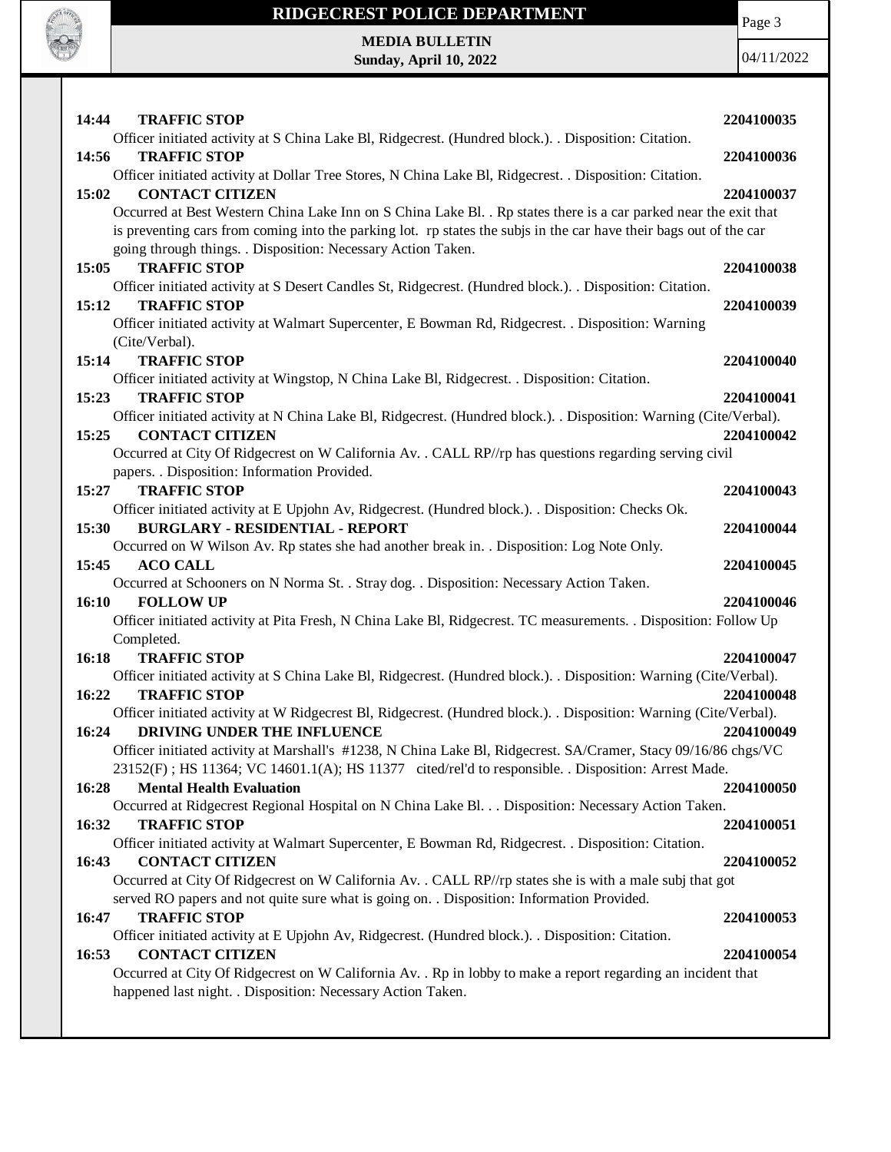

Page 3

**MEDIA BULLETIN Sunday, April 10, 2022**

| 14:44 | <b>TRAFFIC STOP</b>                                                                                                                                                                                    | 2204100035 |
|-------|--------------------------------------------------------------------------------------------------------------------------------------------------------------------------------------------------------|------------|
|       | Officer initiated activity at S China Lake Bl, Ridgecrest. (Hundred block.). . Disposition: Citation.                                                                                                  |            |
| 14:56 | <b>TRAFFIC STOP</b>                                                                                                                                                                                    | 2204100036 |
|       | Officer initiated activity at Dollar Tree Stores, N China Lake Bl, Ridgecrest. . Disposition: Citation.                                                                                                |            |
| 15:02 | <b>CONTACT CITIZEN</b>                                                                                                                                                                                 | 2204100037 |
|       | Occurred at Best Western China Lake Inn on S China Lake Bl. . Rp states there is a car parked near the exit that                                                                                       |            |
|       | is preventing cars from coming into the parking lot. rp states the subjs in the car have their bags out of the car                                                                                     |            |
|       | going through things. . Disposition: Necessary Action Taken.                                                                                                                                           |            |
| 15:05 | <b>TRAFFIC STOP</b>                                                                                                                                                                                    | 2204100038 |
|       | Officer initiated activity at S Desert Candles St, Ridgecrest. (Hundred block.). . Disposition: Citation.                                                                                              |            |
| 15:12 | <b>TRAFFIC STOP</b>                                                                                                                                                                                    | 2204100039 |
|       | Officer initiated activity at Walmart Supercenter, E Bowman Rd, Ridgecrest. . Disposition: Warning<br>(Cite/Verbal).                                                                                   |            |
| 15:14 | <b>TRAFFIC STOP</b>                                                                                                                                                                                    | 2204100040 |
|       | Officer initiated activity at Wingstop, N China Lake Bl, Ridgecrest. . Disposition: Citation.                                                                                                          |            |
| 15:23 | <b>TRAFFIC STOP</b>                                                                                                                                                                                    | 2204100041 |
|       | Officer initiated activity at N China Lake Bl, Ridgecrest. (Hundred block.). . Disposition: Warning (Cite/Verbal).                                                                                     |            |
| 15:25 | <b>CONTACT CITIZEN</b>                                                                                                                                                                                 | 2204100042 |
|       | Occurred at City Of Ridgecrest on W California Av. . CALL RP//rp has questions regarding serving civil                                                                                                 |            |
|       | papers. . Disposition: Information Provided.                                                                                                                                                           |            |
| 15:27 | <b>TRAFFIC STOP</b>                                                                                                                                                                                    | 2204100043 |
|       | Officer initiated activity at E Upjohn Av, Ridgecrest. (Hundred block.). . Disposition: Checks Ok.                                                                                                     |            |
| 15:30 | <b>BURGLARY - RESIDENTIAL - REPORT</b>                                                                                                                                                                 | 2204100044 |
|       | Occurred on W Wilson Av. Rp states she had another break in. . Disposition: Log Note Only.                                                                                                             |            |
| 15:45 | <b>ACO CALL</b>                                                                                                                                                                                        | 2204100045 |
|       | Occurred at Schooners on N Norma St. . Stray dog. . Disposition: Necessary Action Taken.                                                                                                               |            |
| 16:10 | <b>FOLLOW UP</b><br>Officer initiated activity at Pita Fresh, N China Lake Bl, Ridgecrest. TC measurements. . Disposition: Follow Up                                                                   | 2204100046 |
|       | Completed.                                                                                                                                                                                             |            |
| 16:18 | <b>TRAFFIC STOP</b>                                                                                                                                                                                    | 2204100047 |
|       | Officer initiated activity at S China Lake Bl, Ridgecrest. (Hundred block.). . Disposition: Warning (Cite/Verbal).                                                                                     |            |
| 16:22 | <b>TRAFFIC STOP</b>                                                                                                                                                                                    | 2204100048 |
|       | Officer initiated activity at W Ridgecrest Bl, Ridgecrest. (Hundred block.). . Disposition: Warning (Cite/Verbal).                                                                                     |            |
| 16:24 | DRIVING UNDER THE INFLUENCE                                                                                                                                                                            | 2204100049 |
|       | Officer initiated activity at Marshall's #1238, N China Lake Bl, Ridgecrest. SA/Cramer, Stacy 09/16/86 chgs/VC                                                                                         |            |
|       | 23152(F); HS 11364; VC 14601.1(A); HS 11377 cited/rel'd to responsible. . Disposition: Arrest Made.                                                                                                    |            |
| 16:28 | <b>Mental Health Evaluation</b>                                                                                                                                                                        | 2204100050 |
|       | Occurred at Ridgecrest Regional Hospital on N China Lake Bl. Disposition: Necessary Action Taken.                                                                                                      |            |
| 16:32 | <b>TRAFFIC STOP</b>                                                                                                                                                                                    | 2204100051 |
|       | Officer initiated activity at Walmart Supercenter, E Bowman Rd, Ridgecrest. . Disposition: Citation.                                                                                                   |            |
| 16:43 | <b>CONTACT CITIZEN</b>                                                                                                                                                                                 | 2204100052 |
|       | Occurred at City Of Ridgecrest on W California Av. . CALL RP//rp states she is with a male subj that got<br>served RO papers and not quite sure what is going on. . Disposition: Information Provided. |            |
| 16:47 | <b>TRAFFIC STOP</b>                                                                                                                                                                                    | 2204100053 |
|       | Officer initiated activity at E Upjohn Av, Ridgecrest. (Hundred block.). . Disposition: Citation.                                                                                                      |            |
| 16:53 | <b>CONTACT CITIZEN</b>                                                                                                                                                                                 | 2204100054 |
|       | Occurred at City Of Ridgecrest on W California Av. . Rp in lobby to make a report regarding an incident that                                                                                           |            |
|       | happened last night. . Disposition: Necessary Action Taken.                                                                                                                                            |            |
|       |                                                                                                                                                                                                        |            |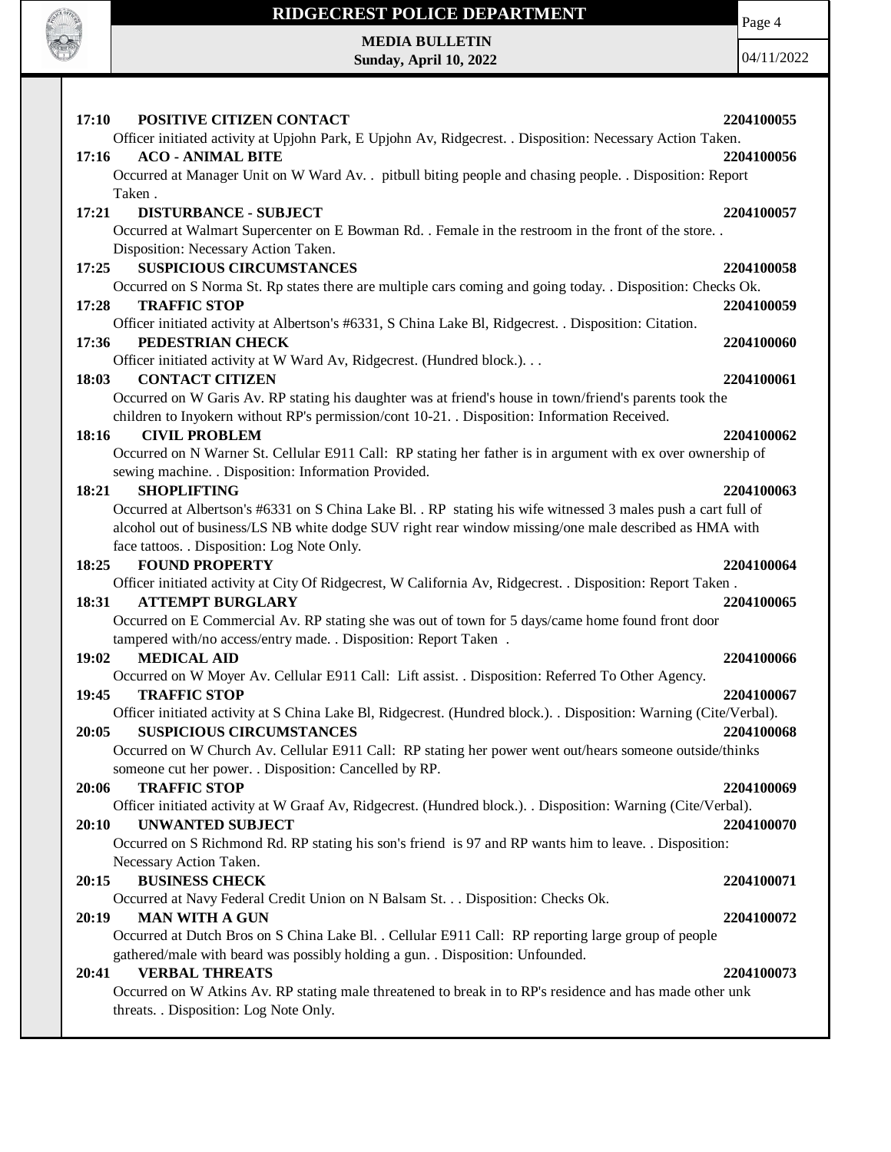

 $\perp$ 

### **RIDGECREST POLICE DEPARTMENT MEDIA BULLETIN**

**Sunday, April 10, 2022**

Page 4

| 17:10<br>POSITIVE CITIZEN CONTACT                                                                                                               | 2204100055 |
|-------------------------------------------------------------------------------------------------------------------------------------------------|------------|
| Officer initiated activity at Upjohn Park, E Upjohn Av, Ridgecrest. . Disposition: Necessary Action Taken.                                      |            |
| <b>ACO - ANIMAL BITE</b><br>17:16                                                                                                               | 2204100056 |
| Occurred at Manager Unit on W Ward Av. . pitbull biting people and chasing people. . Disposition: Report                                        |            |
| Taken.                                                                                                                                          |            |
| <b>DISTURBANCE - SUBJECT</b><br>17:21                                                                                                           | 2204100057 |
| Occurred at Walmart Supercenter on E Bowman Rd. . Female in the restroom in the front of the store. .                                           |            |
| Disposition: Necessary Action Taken.                                                                                                            |            |
| <b>SUSPICIOUS CIRCUMSTANCES</b><br>17:25                                                                                                        | 2204100058 |
| Occurred on S Norma St. Rp states there are multiple cars coming and going today. . Disposition: Checks Ok.                                     |            |
| <b>TRAFFIC STOP</b><br>17:28                                                                                                                    | 2204100059 |
| Officer initiated activity at Albertson's #6331, S China Lake Bl, Ridgecrest. . Disposition: Citation.                                          |            |
| PEDESTRIAN CHECK<br>17:36                                                                                                                       | 2204100060 |
| Officer initiated activity at W Ward Av, Ridgecrest. (Hundred block.).                                                                          |            |
| <b>CONTACT CITIZEN</b><br>18:03                                                                                                                 | 2204100061 |
| Occurred on W Garis Av. RP stating his daughter was at friend's house in town/friend's parents took the                                         |            |
| children to Inyokern without RP's permission/cont 10-21. Disposition: Information Received.                                                     |            |
| <b>CIVIL PROBLEM</b><br>18:16                                                                                                                   | 2204100062 |
| Occurred on N Warner St. Cellular E911 Call: RP stating her father is in argument with ex over ownership of                                     |            |
| sewing machine. . Disposition: Information Provided.                                                                                            |            |
| <b>SHOPLIFTING</b><br>18:21                                                                                                                     | 2204100063 |
| Occurred at Albertson's #6331 on S China Lake Bl. . RP stating his wife witnessed 3 males push a cart full of                                   |            |
| alcohol out of business/LS NB white dodge SUV right rear window missing/one male described as HMA with                                          |            |
| face tattoos. . Disposition: Log Note Only.                                                                                                     |            |
| <b>FOUND PROPERTY</b><br>18:25                                                                                                                  | 2204100064 |
| Officer initiated activity at City Of Ridgecrest, W California Av, Ridgecrest. . Disposition: Report Taken.<br><b>ATTEMPT BURGLARY</b><br>18:31 | 2204100065 |
| Occurred on E Commercial Av. RP stating she was out of town for 5 days/came home found front door                                               |            |
| tampered with/no access/entry made. . Disposition: Report Taken .                                                                               |            |
| 19:02<br><b>MEDICAL AID</b>                                                                                                                     | 2204100066 |
| Occurred on W Moyer Av. Cellular E911 Call: Lift assist. . Disposition: Referred To Other Agency.                                               |            |
| 19:45<br><b>TRAFFIC STOP</b>                                                                                                                    | 2204100067 |
| Officer initiated activity at S China Lake Bl, Ridgecrest. (Hundred block.). . Disposition: Warning (Cite/Verbal).                              |            |
| 20:05<br><b>SUSPICIOUS CIRCUMSTANCES</b>                                                                                                        | 2204100068 |
| Occurred on W Church Av. Cellular E911 Call: RP stating her power went out/hears someone outside/thinks                                         |            |
| someone cut her power. . Disposition: Cancelled by RP.                                                                                          |            |
| <b>TRAFFIC STOP</b><br>20:06                                                                                                                    | 2204100069 |
| Officer initiated activity at W Graaf Av, Ridgecrest. (Hundred block.). . Disposition: Warning (Cite/Verbal).                                   |            |
| 20:10<br><b>UNWANTED SUBJECT</b>                                                                                                                | 2204100070 |
| Occurred on S Richmond Rd. RP stating his son's friend is 97 and RP wants him to leave. . Disposition:                                          |            |
| Necessary Action Taken.                                                                                                                         |            |
| <b>BUSINESS CHECK</b><br>20:15                                                                                                                  | 2204100071 |
| Occurred at Navy Federal Credit Union on N Balsam St. Disposition: Checks Ok.                                                                   |            |
| <b>MAN WITH A GUN</b><br>20:19                                                                                                                  | 2204100072 |
| Occurred at Dutch Bros on S China Lake Bl. . Cellular E911 Call: RP reporting large group of people                                             |            |
| gathered/male with beard was possibly holding a gun. . Disposition: Unfounded.                                                                  |            |
| 20:41<br><b>VERBAL THREATS</b>                                                                                                                  | 2204100073 |
| Occurred on W Atkins Av. RP stating male threatened to break in to RP's residence and has made other unk                                        |            |
| threats. . Disposition: Log Note Only.                                                                                                          |            |
|                                                                                                                                                 |            |